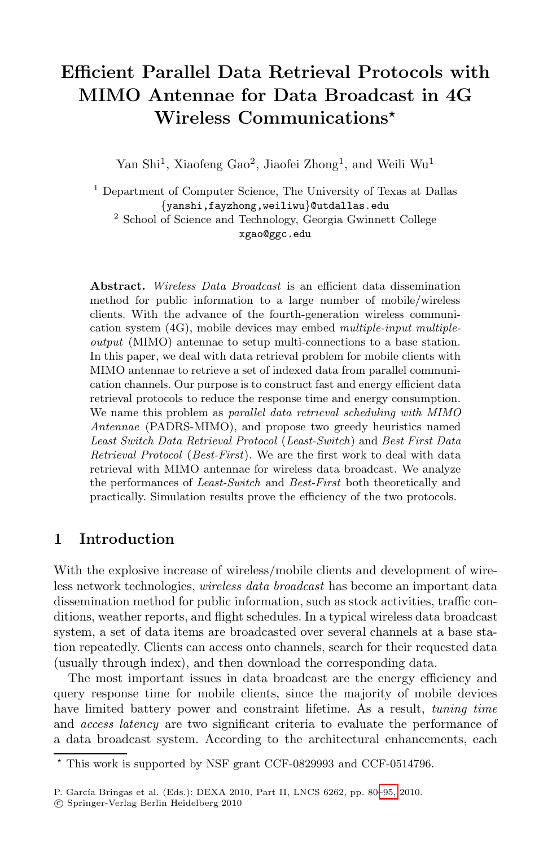# **Efficient Parallel Data Retrieval Protocols with MIMO Antennae for Data Broadcast in 4G Wireless Communications***-*

Yan Shi<sup>1</sup>, Xiaofeng Gao<sup>2</sup>, Jiaofei Zhong<sup>1</sup>, and Weili Wu<sup>1</sup>

<sup>1</sup> Department of Computer Science, The University of Texas at Dallas {yanshi,fayzhong,weiliwu}@utdallas.edu <sup>2</sup> School of Science and Technology, Georgia Gwinnett College xgao@ggc.edu

**Abstract.** *Wireless Data Broadcast* is an efficient data dissemination method for public information to a large number of mobile/wireless clients. With the advance of the fourth-generation wireless communication system (4G), mobile devices may embed *multiple-input multipleoutput* (MIMO) antennae to setup multi-connections to a base station. In this paper, we deal with data retrieval problem for mobile clients with MIMO antennae to retrieve a set of indexed data from parallel communication channels. Our purpose is to construct fast and energy efficient data retrieval protocols to reduce the response time and energy consumption. We name this problem as *parallel data retrieval scheduling with MIMO Antennae* (PADRS-MIMO), and propose two greedy heuristics named *Least Switch Data Retrieval Protocol* (*Least-Switch*) and *Best First Data Retrieval Protocol* (*Best-First*). We are the first work to deal with data retrieval with MIMO antennae for wireless data broadcast. We analyze the performances of *Least-Switch* and *Best-First* both theoretically and practically. Simulation results prove the efficiency of the two protocols.

### **1 Introduction**

With the explosive increase of wireless/mobile clients and development of wireless network technologies, *wireless data broadcast* has become an important data dissemination method for public information, such as stock activities, traffic conditions, weather reports, and flight schedules. In a typical wireless data broadcast system, a set of data items are broadcasted over several channels at a base station repeatedly. Clients can access onto channels, search for their requested data (usually through index), and then download the corresponding data.

The most important issues in data [broa](#page-15-0)dcast are the energy efficiency and query response time for mobile clients, since the majority of mobile devices have limited battery power and constraint lifetime. As a result, *tuning time* and *access latency* are two significant criteria to evaluate the performance of a data broadcast system. According to the architectural enhancements, each

<sup>-</sup> This work is supported by NSF grant CCF-0829993 and CCF-0514796.

P. García Bringas et al. (Eds.): DEXA 2010, Part II, LNCS 6262, pp. 80–95, 2010.

<sup>-</sup>c Springer-Verlag Berlin Heidelberg 2010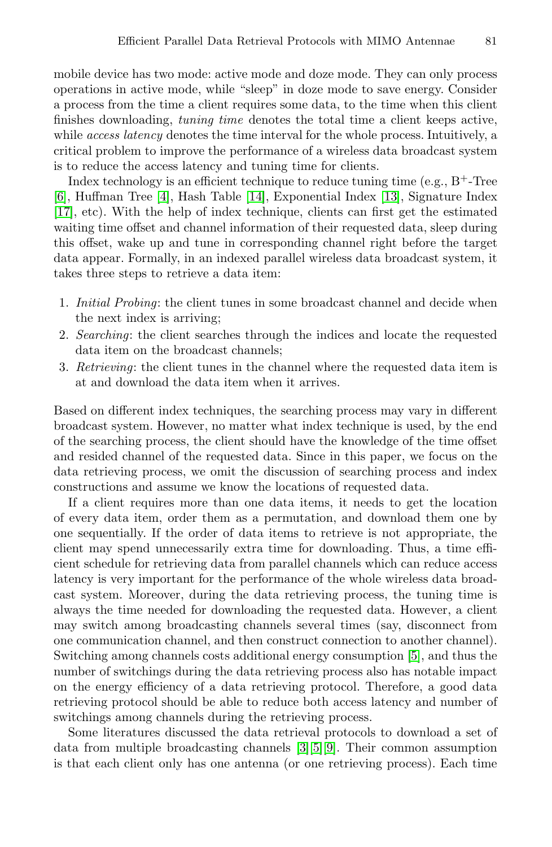[m](#page-14-0)obile device h[as t](#page-15-1)wo mode: active mod[e an](#page-15-2)d doze mode. They can only process operations in active mode, while "sleep" in doze mode to save energy. Consider a process from the time a client requires some data, to the time when this client finishes downloading, *tuning time* denotes the total time a client keeps active, while *access latency* denotes the time interval for the whole process. Intuitively, a critical problem to improve the performance of a wireless data broadcast system is to reduce the access latency and tuning time for clients.

Index technology is an efficient technique to reduce tuning time (e.g.,  $B^+$ -Tree [6], Huffman Tree [4], Hash Table [14], Exponential Index [13], Signature Index [17], etc). With the help of index technique, clients can first get the estimated waiting time offset and channel information of their requested data, sleep during this offset, wake up and tune in corresponding channel right before the target data appear. Formally, in an indexed parallel wireless data broadcast system, it takes three steps to retrieve a data item:

- 1. *Initial Probing*: the client tunes in some broadcast channel and decide when the next index is arriving;
- 2. *Searching*: the client searches through the indices and locate the requested data item on the broadcast channels;
- 3. *Retrieving*: the client tunes in the channel where the requested data item is at and download the data item when it arrives.

Based on different index techniques, the searching process may vary in different broadcast system. However, no matter what index technique is used, by the end of the searching process, the client should have the knowledge of the time offset and resided channel of the requested data. Since in this paper, we focus on the data retrieving process, we omit the discussion of searching process and index constructions and assume we know the locations of requested data.

If a client requires more than one data items, it needs to get the location of every data item, order them as a permutation, and download them one by one sequentially. If the order of data items [to](#page-14-1) retrieve is not appropriate, the client may spend unnecessarily extra time for downloading. Thus, a time efficient schedule for retrieving data from parallel channels which can reduce access latency is very important for the performance of the whole wireless data broadcast system. Moreover, during the data retrieving process, the tuning time is always the time needed for downloading the requested data. However, a client may switch among broa[dc](#page-14-2)[as](#page-14-1)[tin](#page-15-3)g channels several times (say, disconnect from one communication channel, and then construct connection to another channel). Switching among channels costs additional energy consumption [5], and thus the number of switchings during the data retrieving process also has notable impact on the energy efficiency of a data retrieving protocol. Therefore, a good data retrieving protocol should be able to reduce both access latency and number of switchings among channels during the retrieving process.

Some literatures discussed the data retrieval protocols to download a set of data from multiple broadcasting channels [3][5][9]. Their common assumption is that each client only has one antenna (or one retrieving process). Each time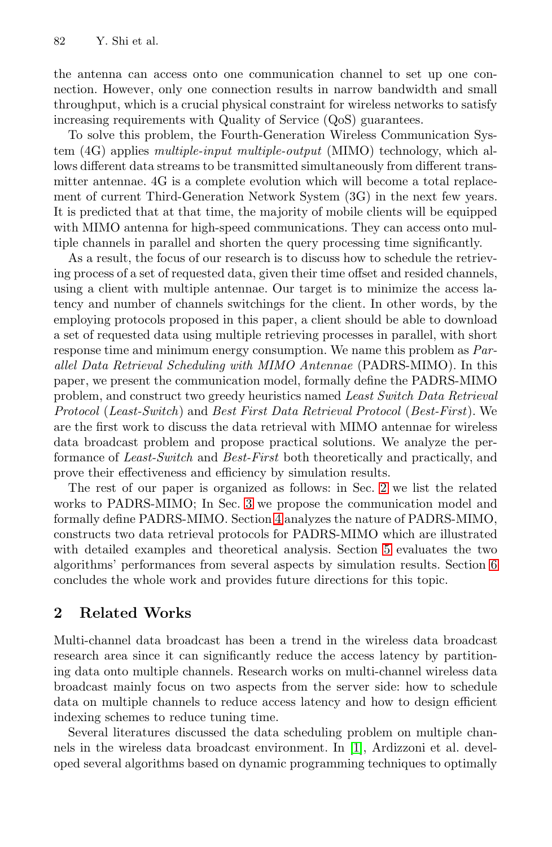the antenna can access onto one communication channel to set up one connection. However, only one connection results in narrow bandwidth and small throughput, which is a crucial physical constraint for wireless networks to satisfy increasing requirements with Quality of Service (QoS) guarantees.

To solve this problem, the Fourth-Generation Wireless Communication System (4G) applies *multiple-input multiple-output* (MIMO) technology, which allows different data streams to be transmitted simultaneously from different transmitter antennae. 4G is a complete evolution which will become a total replacement of current Third-Generation Network System (3G) in the next few years. It is predicted that at that time, the majority of mobile clients will be equipped with MIMO antenna for high-speed communications. They can access onto multiple channels in parallel and shorten the query processing time significantly.

As a result, the focus of our research is to discuss how to schedule the retrieving process of a set of requested data, given their time offset and resided channels, using a client with multiple antennae. Our target is to minimize the access latency and number of channels switchings for the client. In other words, by the employing protocols proposed in this paper, a client should be able to download a set of requested data using multiple retrieving processes in parallel, with short response time and minimum energy consumption. We name this problem as *Parallel Data Retrieval Scheduling with MI[M](#page-2-0)O Antennae* (PADRS-MIMO). In this paper, we pres[ent](#page-3-0) the communication model, formally define the PADRS-MIMO problem, and constr[uc](#page-7-0)t two greedy heuristics named *Least Switch Data Retrieval Protocol* (*Least-Switch*) and *Best First Data Retrieval Protocol* (*Best-First*). We are the first work to discuss the data re[trie](#page-12-0)val with MIMO antennae for wireless data broadcast problem and propose practical solutions. [W](#page-14-3)e analyze the performance of *Least-Switch* and *Best-First* both theoretically and practically, and prove their effectiveness and efficiency by simulation results.

<span id="page-2-0"></span>The rest of our paper is organized as follows: in Sec. 2 we list the related works to PADRS-MIMO; In Sec. 3 we propose the communication model and formally define PADRS-MIMO. Section 4 analyzes the nature of PADRS-MIMO, constructs two data retrieval protocols for PADRS-MIMO which are illustrated with detailed examples and theoretical analysis. Section 5 evaluates the two algorithms' performances from several aspects by simulation results. Section 6 concludes the whole work and provides future directions for this topic.

### **2 Related Works**

Multi-channel data broadcast has [b](#page-14-4)een a trend in the wireless data broadcast research area since it can significantly reduce the access latency by partitioning data onto multiple channels. Research works on multi-channel wireless data broadcast mainly focus on two aspects from the server side: how to schedule data on multiple channels to reduce access latency and how to design efficient indexing schemes to reduce tuning time.

Several literatures discussed the data scheduling problem on multiple channels in the wireless data broadcast environment. In [1], Ardizzoni et al. developed several algorithms based on dynamic programming techniques to optimally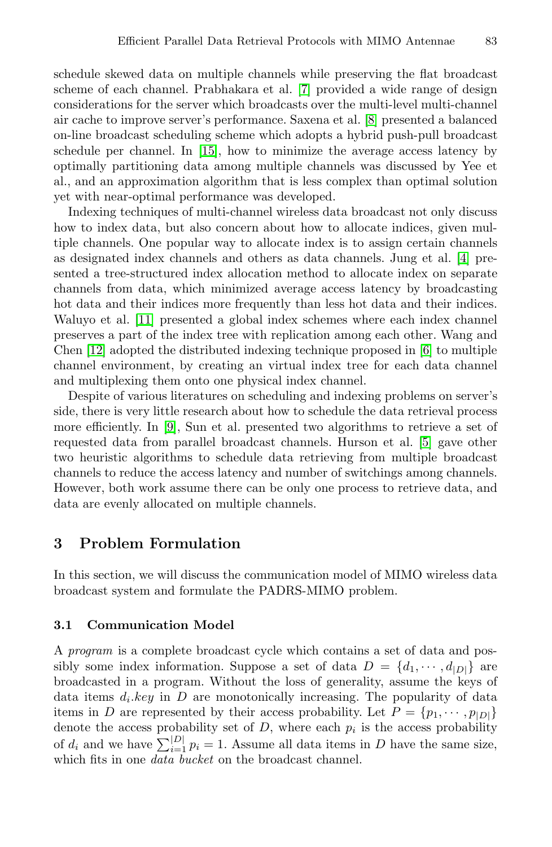schedule skewed data on multiple channels while preserving the flat broadcast scheme of each channel. Prabhakara et al. [7] provided a wide range of design considerations for the server which broadcasts over the multi-level multi-channel air cache to improve server's performance. Saxena et al. [8] presented a balanced on-line broadcast scheduling scheme which adopts a [hyb](#page-14-0)rid push-pull broadcast schedule per channel. In [15], how to minimize the average access latency by optimally partitioning data among multiple channels was discussed by Yee et al., and an approximation algorithm that is less complex than optimal solution yet with near-optimal performance was developed.

Indexing techniques of multi-channel wireless data broadcast not only discuss how to index data, but also concern about ho[w](#page-14-5) to allocate indices, given multiple channels. One popular way to allocate index is to assign certain channels as designated index channels and others as data channels. Jung et al. [4] presented a tree-structured index allocation method to allocate index on separate channels from data, which minimized average access latency by broadcasting [hot](#page-15-3) data and their indices more frequently than less hot data and their indices. Waluyo et al. [11] presented a global index sc[he](#page-14-1)mes where each index channel preserves a part of the index tree with replication among each other. Wang and Chen [12] adopted the distributed indexing technique proposed in [6] to multiple channel environment, by creating an virtual index tree for each data channel and multiplexing them onto one physical index channel.

<span id="page-3-0"></span>Despite of various literatures on scheduling and indexing problems on server's side, there is very little research about how to schedule the data retrieval process more efficiently. In [9], Sun et al. presented two algorithms to retrieve a set of requested data from parallel broadcast channels. Hurson et al. [5] gave other two heuristic algorithms to schedule data retrieving from multiple broadcast channels to reduce the access latency and number of switchings among channels. However, both work assume there can be only one process to retrieve data, and data are evenly allocated on multiple channels.

### **3 Problem Formulation**

In this section, we will discuss the communication model of MIMO wireless data broadcast system and formulate the PADRS-MIMO problem.

### **3.1 Communication Model**

A *program* is a complete broadcast cycle which contains a set of data and possibly some index information. Suppose a set of data  $D = \{d_1, \dots, d_{|D|}\}\$ are broadcasted in a program. Without the loss of generality, assume the keys of data items  $d_i \text{.} key$  in  $D$  are monotonically increasing. The popularity of data items in D are represented by their access probability. Let  $P = \{p_1, \dots, p_{|D|}\}\$ denote the access probability set of  $D$ , where each  $p_i$  is the access probability of  $d_i$  and we have  $\sum_{i=1}^{|D|} p_i = 1$ . Assume all data items in D have the same size, which fits in one *data bucket* on the broadcast channel.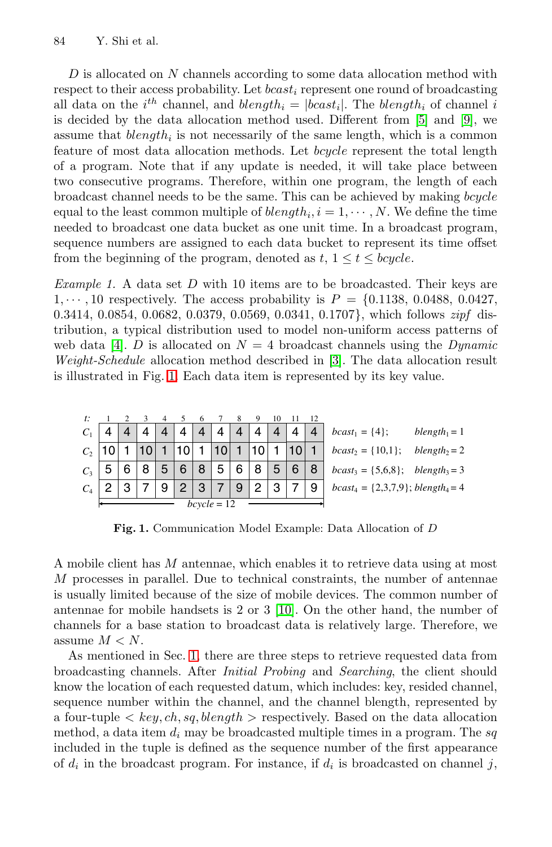D is allocated on N channels according to some data allocation method with respect to their access probability. Let  $bcast_i$  represent one round of broadcasting all data on the  $i^{th}$  channel, and  $blength_i = |{boxst}_i|$ . The  $blength_i$  of channel i is decided by the data allocation method used. Different from [5] and [9], we assume that  $blength<sub>i</sub>$  is not necessarily of the same length, which is a common feature of most data allocation methods. Let *bcycle* represent the total length of a program. Note that if any update is needed, it will take place between two consecutive programs. Therefore, within one program, the length of each broadcast channel needs to be the same. This can be achieved by making bcycle equal to the least common multiple of  $blength_i, i = 1, \dots, N$ . We define the time needed to broadcast one data bucket as one unit time. In a broadcast program, sequence numbers are assigne[d t](#page-14-2)o each data bucket to represent its time offset f[rom](#page-4-0) the beginning of the program, denoted as  $t, 1 \le t \le bcycle$ .

*Example 1.* A data set D with 10 items are to be broadcasted. Their keys are  $1, \dots, 10$  respectively. The access probability is  $P = \{0.1138, 0.0488, 0.0427, \dots\}$ 0.3414, 0.0854, 0.0682, 0.0379, 0.0569, 0.0341, 0.1707}, which follows *zipf* distribution, a typical distribution used to model non-uniform access patterns of web data [4]. D is allocated on  $N = 4$  broadcast channels using the *Dynamic Weight-Schedule* allocation method described in [3]. The data allocation result is illustrated in Fig. 1. Each data item is represented by its key value.

|                   |               |  |   |   |   |   | 4 | 4 | 4 |         |   |   | $bcast_1 = \{4\};$<br>$blength_1 = 1$              |
|-------------------|---------------|--|---|---|---|---|---|---|---|---------|---|---|----------------------------------------------------|
| $\mathcal{C}_{2}$ |               |  |   |   |   |   |   |   |   |         |   |   | $bcast_2 = \{10,1\};$<br>blength <sub>2</sub> = 2  |
| $C_3$             |               |  | 8 | 5 | 6 | 8 | 5 | 6 | 8 | 5       | 6 | 8 | $bcast_3 = \{5,6,8\};$<br>blength <sub>3</sub> = 3 |
| $C_4$             |               |  |   | 9 | っ | ာ |   | 9 | っ | ົ<br>د، |   | 9 | $bcast_4 = \{2,3,7,9\}$ ; $blength_4 = 4$          |
|                   | $bcycle = 12$ |  |   |   |   |   |   |   |   |         |   |   |                                                    |

<span id="page-4-0"></span>**Fig. 1.** Communication Model Example: Data Allocation of D

A mobile client has M antennae, which enables it to retrieve data using at most M processes in parallel. Due to technical constraints, the number of antennae is usually limited because of the size of mobile devices. The common number of antennae for mobile handsets is 2 or 3 [10]. On the other hand, the number of channels for a base station to broadcast data is relatively large. Therefore, we assume  $M < N$ .

As mentioned in Sec. 1, there are three steps to retrieve requested data from broadcasting channels. After *Initial Probing* and *Searching*, the client should know the location of each requested datum, which includes: key, resided channel, sequence number within the channel, and the channel blength, represented by a four-tuple  $\langle key, ch, sq, blend \rangle$  respectively. Based on the data allocation method, a data item  $d_i$  may be broadcasted multiple times in a program. The sq included in the tuple is defined as the sequence number of the first appearance of  $d_i$  in the broadcast program. For instance, if  $d_i$  is broadcasted on channel j,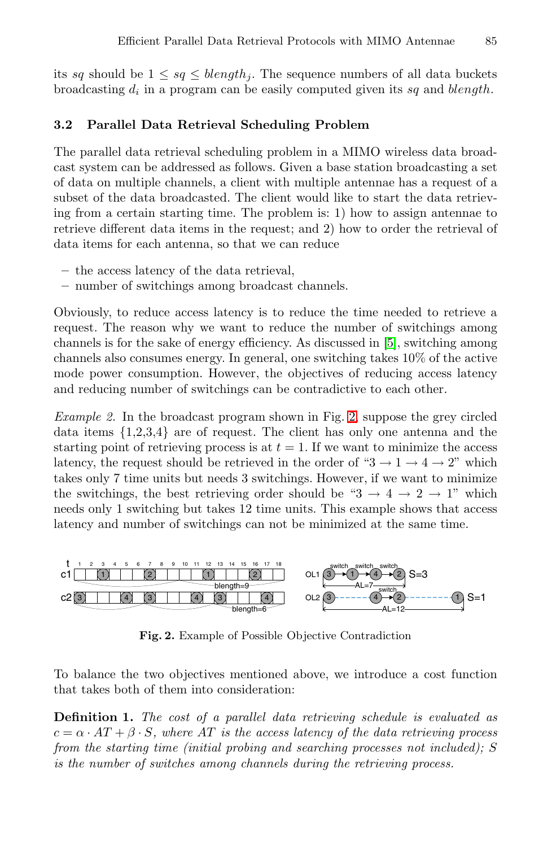its sq should be  $1 \leq sq \leq length_j$ . The sequence numbers of all data buckets broadcasting d*<sup>i</sup>* in a program can be easily computed given its sq and blength.

### **3.2 Parallel Data Retrieval Scheduling Problem**

The parallel data retrieval scheduling problem in a MIMO wireless data broadcast system can be addressed as follows. Given a base station broadcasting a set of data on multiple channels, a client with multiple antennae has a request of a subset of the data broadcasted. The client would like to start the data retrieving from a certain starting time. The problem is: 1) how to assign antennae to retrieve different data items in the requ[est](#page-14-1); and 2) how to order the retrieval of data items for each antenna, so that we can reduce

- **–** the access latency of the data retrieval,
- **–** number of switchings among broadcast channels.

Obviously, to reduce access latency is to reduce the time needed to retrieve a request. The reason why we want to reduce the number of switchings among channels is for the sake of energy efficiency. As discussed in [5], switching among channels also consumes energy. In general, one switching takes 10% of the active mode power consumption. However, the objectives of reducing access latency and reducing number of switchings can be contradictive to each other.

*Example 2.* In the broadcast program shown in Fig. 2, suppose the grey circled data items  $\{1,2,3,4\}$  are of request. The client has only one antenna and the starting point of retrieving process is at  $t = 1$ . If we want to minimize the access latency, the request should be retrieved in the order of " $3 \rightarrow 1 \rightarrow 4 \rightarrow 2$ " which takes only 7 time units but needs 3 switchings. However, if we want to minimize the switchings, the best retrieving order should be " $3 \rightarrow 4 \rightarrow 2 \rightarrow 1$ " which needs only 1 switching but takes 12 time units. This example shows that access latency and number of switchings can not be minimized at the same time.

<span id="page-5-0"></span>

**Fig. 2.** Example of Possible Objective Contradiction

To balance the two objectives mentioned above, we introduce a cost function that takes both of them into consideration:

**Definition 1.** *The cost of a parallel data retrieving schedule is evaluated as*  $c = \alpha \cdot AT + \beta \cdot S$ , where AT *is the access latency of the data retrieving process from the starting time (initial probing and searching processes not included);* S *is the number of switches among channels during the retrieving process.*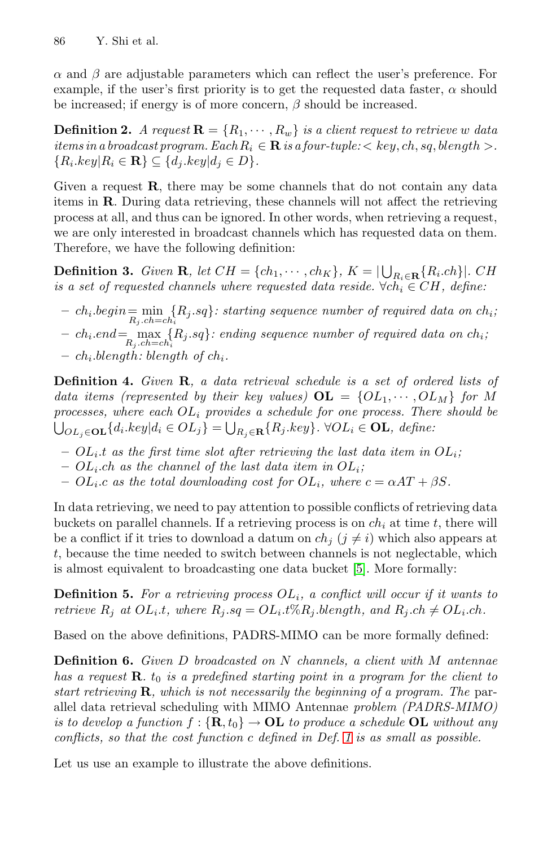$\alpha$  and  $\beta$  are adjustable parameters which can reflect the user's preference. For example, if the user's first priority is to get the requested data faster,  $\alpha$  should be increased; if energy is of more concern,  $\beta$  should be increased.

**Definition 2.** *A request*  $\mathbf{R} = \{R_1, \dots, R_w\}$  *is a client request to retrieve* w *data items in a broadcast program.* Each  $R_i \in \mathbf{R}$  *is a four-tuple:*  $\lt key, ch, sq, blend \gt k$ .  ${R_i \text{.} key | R_i \in \mathbf{R}} \subseteq {d_j \text{.} key | d_j \in D}.$ 

Given a request **R**, there may be some channels that do not contain any data items in **R**. During data retrieving, these channels will not affect the retrieving process at all, and thus can be ignored. In other words, when retrieving a request, we are only interested in broadcast channels which has requested data on them. Therefore, we have the following definition:

**Definition 3.** *Given* **R**, let  $CH = \{ch_1, \dots, ch_K\}$ ,  $K = \bigcup_{R_i \in \mathbf{R}} \{R_i, ch\}$ . CH *is a set of requested channels where requested data reside.*  $\forall ch_i \in CH$ , define:

- $-$  ch<sub>i</sub>,begin  $=$  min<sub>R<sub>j</sub></sub>.ch=ch<sub>i</sub></sub>  $R_j$ .sq}: starting sequence number of required data on ch<sub>i</sub><sup>*;*</sup>  $-$  ch<sub>i</sub>.end  $=$   $\max_{R_j \cdot ch = ch_i} \{R_j \cdot sq\}$ : ending sequence number of required data on ch<sub>i</sub><sup>*;*</sup>
- **–** ch*i*.blength*:* blength *of* ch*i.*

**Definition 4.** *Given* **R***, a data retrieval schedule is a set of ordered lists of data items (represented by their key values)*  $\mathbf{OL} = \{OL_1, \cdots, OL_M\}$  *for* M *processes, where each* OL*<sup>i</sup> provides a schedule for one process. There should be*  $\bigcup_{OL_j \in \mathbf{OL}} \{d_i \cdot key | d_i \in OL_j\} = \bigcup_{R_j \in \mathbf{R}} \{R_j \cdot key\}.$  ∀OL<sub>i</sub> ∈ **OL***, define:* 

- $\sim$  *OL<sub>i</sub>*, *t* as the fi[r](#page-14-1)st time slot after retrieving the last data item in  $OL_i$ ;
- $-OL_i.ch$  *as the channel of the last data item in*  $OL_i$ ;
- $-OL_i.c$  *as the total downloading cost for*  $OL_i$ *, where*  $c = \alpha AT + \beta S$ *.*

In data retrieving, we need to pay attention to possible conflicts of retrieving data buckets on parallel channels. If a retrieving process is on  $ch<sub>i</sub>$  at time t, there will be a conflict if it tries to download a datum on  $ch_j$   $(j \neq i)$  which also appears at t, because the time needed to switch between channels is not neglectable, which is almost equivalent to broadcasting one data bucket [5]. More formally:

**Definition 5.** *For a retrieving process* OL*i, a conflict will occur if it wants to retrieve*  $R_j$  *at*  $OL_i.t$ *, where*  $R_j.sq = OL_i.t \% R_j.blength$  $R_j.sq = OL_i.t \% R_j.blength$  $R_j.sq = OL_i.t \% R_j.blength$ *, and*  $R_j.ch \neq OL_i.ch$ *.* 

Based on the above definitions, PADRS-MIMO can be more formally defined:

<span id="page-6-0"></span>**Definition 6.** *Given* D *broadcasted on* N *channels, a client with* M *antennae has a request* **R***.* t<sub>0</sub> *is a predefined starting point in a program for the client to start retrieving* **R***, which is not necessarily the beginning of a program. The* parallel data retrieval scheduling with MIMO Antennae *problem (PADRS-MIMO) is to develop a function*  $f : {\bf{R}}$ ,  $t_0 \} \rightarrow$  **OL** *to produce a schedule* **OL** *without any conflicts, so that the cost function* c *defined in Def. 1 is as small as possible.*

Let us use an example to illustrate the above definitions.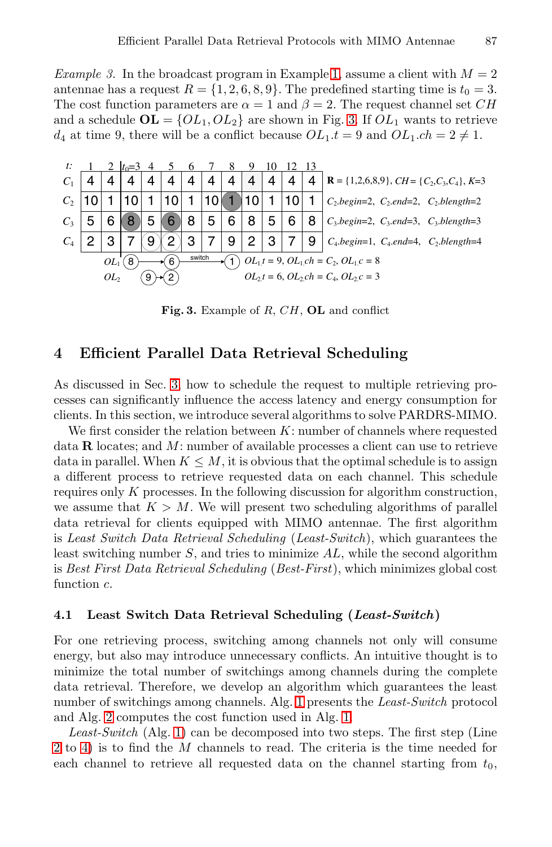*Example 3.* In the broadcast program in Example 1, assume a client with  $M = 2$ antennae has a request  $R = \{1, 2, 6, 8, 9\}$ . The predefined starting time is  $t_0 = 3$ . The cost function parameters are  $\alpha = 1$  and  $\beta = 2$ . The request channel set CH and a schedule  $\mathbf{OL} = \{OL_1, OL_2\}$  are shown in Fig. 3. If  $OL_1$  wants to retrieve  $d_4$  at time 9, there will be a conflict because  $OL_1.t = 9$  and  $OL_1.ch = 2 \neq 1$ .

<span id="page-7-0"></span>

**Fig. 3.** Example of R, CH, **OL** and conflict

### **4 Efficient Parallel Data Retrieval Scheduling**

As discussed in Sec. 3, how to schedule the request to multiple retrieving processes can significantly influence the access latency and energy consumption for clients. In this section, we introduce several algorithms to solve PARDRS-MIMO.

<span id="page-7-1"></span>We first consider the relation between  $K:$  number of channels where requested data **R** locates; and M: number of available processes a client can use to retrieve data in parallel. When  $K \leq M$ , it is obvious that the optimal schedule is to assign a different process to retrieve requested data on each channel. This schedule requires only K processes. In the following discussion for algorithm construction, we assume that  $K > M$ . We will present two scheduling algorithms of parallel data retrieval for clients equipped with MIMO antennae. The first algorithm is *Least Switch Data Retrieval Scheduling* (*Least-Switch*), which guarantees the least switching number  $S$ , and tries to minimize  $AL$ , while the second algorithm is *Best First Data Retrieval Scheduling* (*Best-First*), which minimizes global cost function c.

#### **4.[1](#page-8-0) Least Switch Data Retrieval Scheduling (***Least-Switch***)**

For one retrieving process, switching among channels not only will consume energy, but also may introduce unnecessary conflicts. An intuitive thought is to minimize the total number of switchings among channels during the complete data retrieval. Therefore, we develop an algorithm which guarantees the least number of switchings among channels. Alg. 1 presents the *Least-Switch* protocol and Alg. 2 computes the cost function used in Alg. 1.

*Least-Switch* (Alg. 1) can be decomposed into two steps. The first step (Line 2 to 4) is to find the M channels to read. The criteria is the time needed for each channel to retrieve all requested data on the channel starting from  $t_0$ ,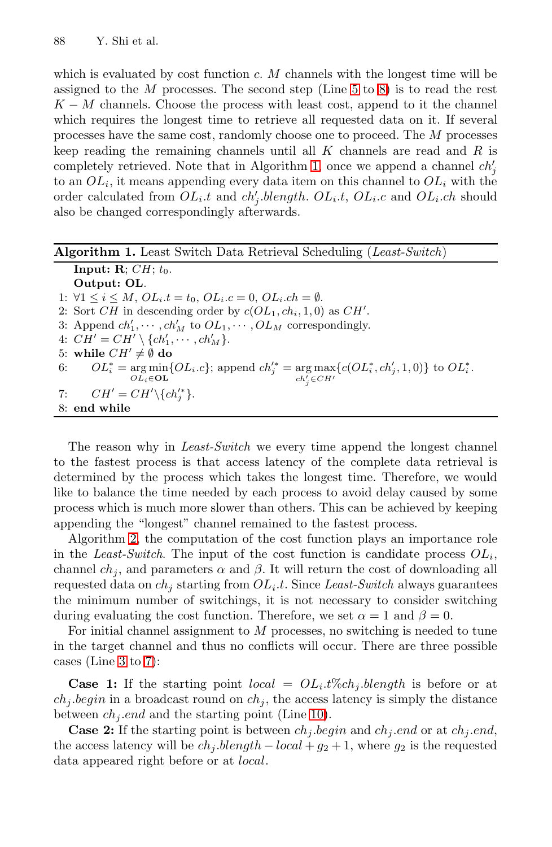<span id="page-8-0"></span>which is evaluated by cost function  $c$ .  $M$  channels with the longest time will be assigned to the  $M$  processes. The second step (Line 5 to 8) is to read the rest  $K - M$  channels. Choose the process with least cost, append to it the channel which requires the longest time to retrieve all requested data on it. If several processes have the same cost, randomly choose one to proceed. The M processes keep reading the remaining channels until all  $K$  channels are read and  $R$  is completely retrieved. Note that in Algorithm 1, once we append a channel ch *j* to an  $OL_i$ , it means appending every data item on this channel to  $OL_i$  with the order calculated from  $OL_i.t$  and  $ch'_j.blength$ .  $OL_i.t$ ,  $OL_i.c$  and  $OL_i.ch$  should also be changed correspondingly afterwards.

| <b>Algorithm 1.</b> Least Switch Data Retrieval Scheduling (Least-Switch)                                                                                  |  |  |  |  |
|------------------------------------------------------------------------------------------------------------------------------------------------------------|--|--|--|--|
| <b>Input:</b> R; $CH$ ; $t_0$ .                                                                                                                            |  |  |  |  |
| Output: OL.                                                                                                                                                |  |  |  |  |
| 1: $\forall 1 \leq i \leq M$ , $OL_i.t = t_0$ , $OL_i.c = 0$ , $OL_i.ch = \emptyset$ .                                                                     |  |  |  |  |
| 2: Sort CH in descending order by $c(OL_1, ch_i, 1, 0)$ as CH'.                                                                                            |  |  |  |  |
| 3: Append $ch'_1, \cdots, ch'_M$ to $OL_1, \cdots, OL_M$ correspondingly.                                                                                  |  |  |  |  |
| 4: $CH' = CH' \setminus \{ch'_1, \cdots, ch'_M\}.$                                                                                                         |  |  |  |  |
| 5: while $CH' \neq \emptyset$ do                                                                                                                           |  |  |  |  |
| $OL_i^* = \arg \min \{OL_i.c\}$ ; append $ch_j'^* = \arg \max \{c(OL_i^*, ch_i', 1, 0)\}$ to $OL_i^*$ .<br>6:<br>$OL_i \in \mathbf{OL}$<br>$ch'_i \in CH'$ |  |  |  |  |
| $CH' = CH' \setminus \{ch_i'^{*}\}.$<br>7:                                                                                                                 |  |  |  |  |
| 8: end while                                                                                                                                               |  |  |  |  |

The reason why in *Least-Switch* we every time append the longest channel to the fastest process is that access latency of the complete data retrieval is determined by the process which takes the longest time. Therefore, we would like to balance the time needed by each process to avoid delay caused by some process which is much more slower than others. This can be achieved by keeping appending the "longest" channel remained to the fastest process.

Algorithm 2, the computation of the cost function plays an importance role in the *Least-Switch*. The input of the cost function is candidate process  $OL_i$ , channel  $ch_j$ , and parameters  $\alpha$  and  $\beta$ . It will return the cost of downloading all requested data on ch*<sup>j</sup>* starting from OL*i*.t. Since *Least-Switch* always guarantees the minimum number of [swit](#page-9-0)chings, it is not necessary to consider switching during evaluating the cost function. Therefore, we set  $\alpha = 1$  and  $\beta = 0$ .

For initial channel assignment to  $M$  processes, no switching is needed to tune in the target channel and thus no conflicts will occur. There are three possible cases (Line 3 to 7):

**Case 1:** If the starting point  $local = OL_i.t\%ch_j.blength$  is before or at  $ch_j. begin in a broadcast round on  $ch_j$ , the access latency is simply the distance$ between  $ch_j$  *end* and the starting point (Line 10).

**Case 2:** If the starting point is between  $ch_j \text{.} begin$  and  $ch_j \text{.} end$  or at  $ch_j \text{.} end$ , the access latency will be  $ch_j.blength - local + g_2 + 1$ , where  $g_2$  is the requested data appeared right before or at local.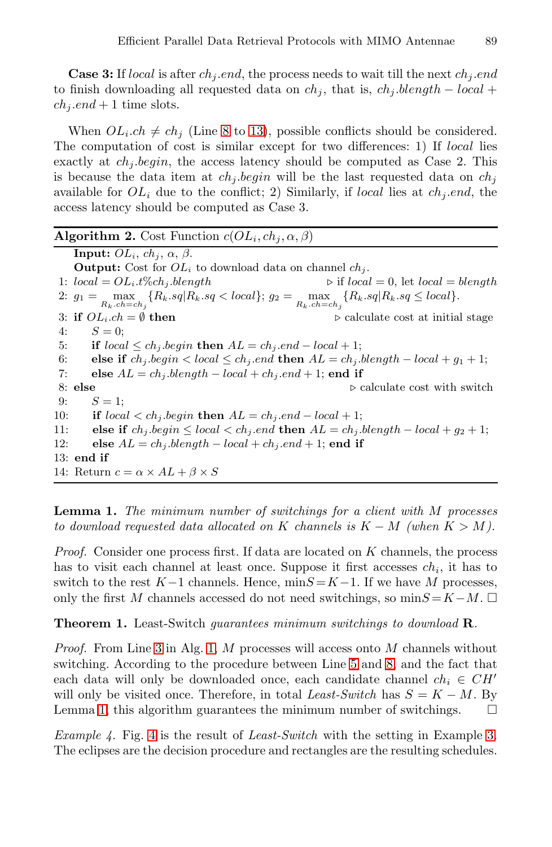**Case 3:** If local is after  $ch_j$  end, the process needs to wait till the next  $ch_j$  end to finish downloading all requested data on  $ch_i$ , that is,  $ch_i$  blength – local +  $ch_j.end + 1$  time slots.

<span id="page-9-0"></span>When  $OL_i.ch \neq ch_j$  (Line 8 to 13), possible conflicts should be considered. The computation of cost is similar except for two differences: 1) If local lies exactly at  $ch<sub>i</sub>$ .begin, the access latency should be computed as Case 2. This is because the data item at  $ch_j \tbegin{bmatrix} \text{.} \\ \text{.} \end{bmatrix}$  be the last requested data on  $ch_j$ available for  $OL_i$  due to the conflict; 2) Similarly, if *local* lies at  $ch_j$  end, the access latency should be computed as Case 3.

|     | <b>Algorithm 2.</b> Cost Function $c(OL_i, ch_i, \alpha, \beta)$                                                                                                                   |  |  |  |  |
|-----|------------------------------------------------------------------------------------------------------------------------------------------------------------------------------------|--|--|--|--|
|     | <b>Input:</b> $OL_i$ , $ch_i$ , $\alpha$ , $\beta$ .                                                                                                                               |  |  |  |  |
|     | <b>Output:</b> Cost for $OL_i$ to download data on channel $ch_i$ .                                                                                                                |  |  |  |  |
|     | 1: $local = OL_i.t\%ch_i.blength$<br>$\triangleright$ if $local = 0$ , let $local = blend$                                                                                         |  |  |  |  |
|     | 2: $g_1 = \max_{R_k \text{ .} ch = ch_i} \{R_k \text{ .} sq   R_k \text{ .} sq < local\}; g_2 = \max_{R_k \text{ .} ch = ch_i} \{R_k \text{ .} sq   R_k \text{ .} sq \le local\}.$ |  |  |  |  |
|     | 3: if $OL_i.ch = \emptyset$ then<br>$\triangleright$ calculate cost at initial stage                                                                                               |  |  |  |  |
| 4:  | $S=0$                                                                                                                                                                              |  |  |  |  |
| 5:  | if $local < chi$ begin then $AL = chi$ end $-local + 1$ ;                                                                                                                          |  |  |  |  |
| 6:  | else if $ch_j \text{.} begin < local \leq ch_j \text{.} end$ then $AL = ch_j \text{.} length - local + g_1 + 1$ ;                                                                  |  |  |  |  |
| 7:  | else $AL = ch_j.blength - local + ch_j.end + 1$ ; end if                                                                                                                           |  |  |  |  |
|     | 8: else<br>$\triangleright$ calculate cost with switch                                                                                                                             |  |  |  |  |
| 9:  | $S=1$                                                                                                                                                                              |  |  |  |  |
| 10: | if $local < chi$ begin then $AL = chi$ end $-local + 1$ ;                                                                                                                          |  |  |  |  |
| 11: | else if $ch_i \text{.} begin \leq local \lt ch_i \text{.} end$ then $AL = ch_i \text{.} being th - local + q_2 + 1$ ;                                                              |  |  |  |  |
| 12: | else $AL = ch_j.blength - local + ch_j.end + 1$ ; end if                                                                                                                           |  |  |  |  |
|     | $13:$ end if                                                                                                                                                                       |  |  |  |  |
|     | 14: Return $c = \alpha \times AL + \beta \times S$                                                                                                                                 |  |  |  |  |

**Lemma 1.** *The minimum number of switchings for a client with* M *processes [t](#page-8-0)o down[loa](#page-8-0)d requested data allocated on* K *channels is*  $K - M$  *(when*  $K > M$ *).* 

*Proof.* Consider one process first. [If](#page-8-0) data [a](#page-8-0)re located on K channels, the process has to visit each channel at least once. Suppose it first accesses ch*i*, it has to switch to the rest  $K-1$  channels. Hence, min $S = K-1$ . If we have M processes, only the first M channels accessed do not need switchings, so  $\min S = K - M$ .  $\Box$ 

**Theorem 1.** Least-Switch *guarantees minimum switchin[gs](#page-6-0) to download* **R***.*

*Proof.* From Line 3 in Alg. 1, M processes will access onto M channels without switching. According to the procedure between Line 5 and 8, and the fact that each data will only be downloaded once, each candidate channel  $ch_i \in CH'$ will only be visited once. Therefore, in total *Least-Switch* has  $S = K - M$ . By Lemma 1, this algorithm guarantees the minimum number of switchings.  $\Box$ 

*Example 4.* Fig. 4 is the result of *Least-Switch* with the setting in Example 3. The eclipses are the decision procedure and rectangles are the resulting schedules.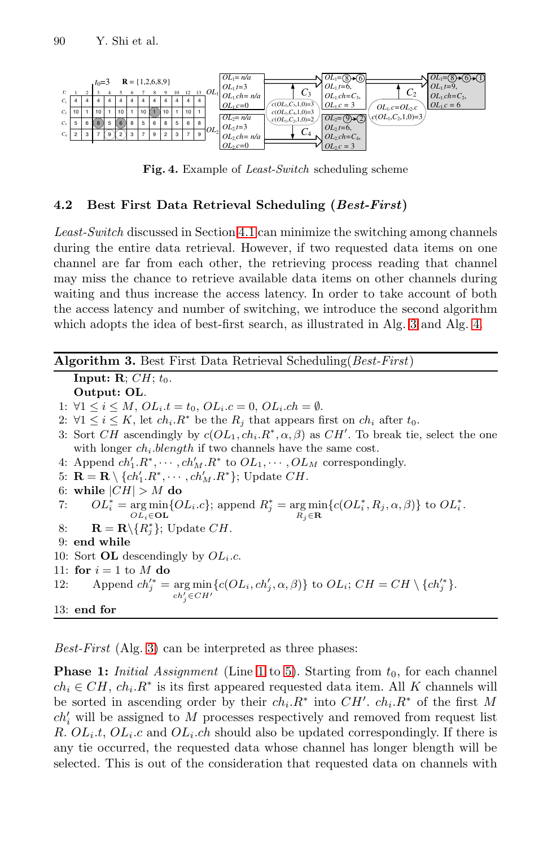

**Fig. 4.** Example of *Least-Switch* scheduling scheme

### **4.2 Best First Data Retrieval Schedu[lin](#page-10-0)g (***Best[-F](#page-11-0)irst***)**

<span id="page-10-0"></span>*Least-Switch* discussed in Section 4.1 can minimize the switching among channels during the entire data retrieval. However, if two requested data items on one channel are far from each other, the retrieving process reading that channel may miss the chance to retrieve available data items on other channels during waiting and thus increase the access latency. In order to take account of both the access latency and number of switching, we introduce the second algorithm which adopts the idea of best-first search, as illustrated in Alg. 3 and Alg. 4.

| <b>Algorithm 3.</b> Best First Data Retrieval Scheduling ( <i>Best-First</i> )                                                                                 |
|----------------------------------------------------------------------------------------------------------------------------------------------------------------|
| <b>Input:</b> $\mathbf{R}$ ; $CH$ ; $t_0$ .                                                                                                                    |
| Output: OL.                                                                                                                                                    |
| 1: $\forall 1 \leq i \leq M$ , $OL_i.t = t_0$ , $OL_i.c = 0$ , $OL_i.ch = \emptyset$ .                                                                         |
| 2: $\forall 1 \leq i \leq K$ , let $ch_i \, R^*$ be the $R_j$ that appears first on $ch_i$ after $t_0$ .                                                       |
| 3: Sort CH ascendingly by $c(OL_1, ch_i.R^*, \alpha, \beta)$ as CH'. To break tie, select the one                                                              |
| with longer $ch_i.blength$ if two channels have the same cost.                                                                                                 |
| 4: Append $ch'_1 \, R^*, \cdots, ch'_M \, R^*$ to $OL_1, \cdots, OL_M$ correspondingly.                                                                        |
| 5: $\mathbf{R} = \mathbf{R} \setminus \{ch'_1 \cdot R^*, \cdots, ch'_M \cdot R^*\}$ ; Update <i>CH</i> .                                                       |
| 6: while $ CH  > M$ do                                                                                                                                         |
| 7: $OL_i^* = \arg\min\{OL_i.c\}$ ; append $R_j^* = \arg\min\{c(OL_i^*, R_j, \alpha, \beta)\}\$ to $OL_i^*$ .<br>$OL_i \in \mathbf{OL}$<br>$R_i \in \mathbf{R}$ |
| 8: $\mathbf{R} = \mathbf{R} \setminus \{R_i^*\};$ Update <i>CH</i> .                                                                                           |
| 9: end while                                                                                                                                                   |
| 10: Sort <b>OL</b> descendingly by $OLi.c$ .                                                                                                                   |
| 11: for $i=1$ to M do                                                                                                                                          |
| Append $ch_i^* = \arg \min \{c(OL_i, ch_i', \alpha, \beta)\}\$ to $OL_i$ ; $CH = CH \setminus \{ch_i^*\}.$<br>12:<br>$ch'_i \in CH'$                           |
| $13:$ end for                                                                                                                                                  |
|                                                                                                                                                                |

*Best-First* (Alg. 3) can be interpreted as three phases:

**Phase 1:** *Initial Assignment* (Line 1 to 5). Starting from  $t_0$ , for each channel  $ch_i \in CH$ ,  $ch_i \cdot R^*$  is its first appeared requested data item. All K channels will be sorted in ascending order by their ch*i*.R<sup>∗</sup> into CH . ch*i*.R<sup>∗</sup> of the first M  $ch'_{i}$  will be assigned to M processes respectively and removed from request list R.  $OL_i.t$ ,  $OL_i.c$  and  $OL_i.ch$  should also be updated correspondingly. If there is any tie occurred, the requested data whose channel has longer blength will be selected. This is out of the consideration that requested data on channels with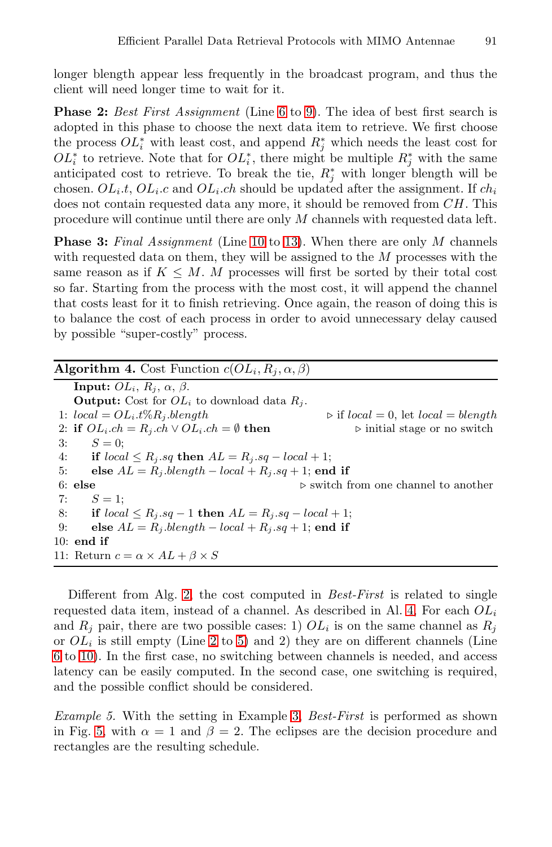longer blength appear less frequently in the broadcast program, and thus the client will need longer time to wait for it.

**Phase 2:** *Best First Assignment* (Line 6 to 9). The idea of best first search is adopted in this [pha](#page-10-0)se [to](#page-10-0) choose the next data item to retrieve. We first choose the process  $OL_i^*$  with least cost, and append  $R_j^*$  which needs the least cost for  $OL_i^*$  to retrieve. Note that for  $OL_i^*$ , there might be multiple  $R_j^*$  with the same anticipated cost to retrieve. To break the tie,  $R_j^*$  with longer blength will be chosen.  $OL_i.t$ ,  $OL_i.c$  and  $OL_i.ch$  should be updated after the assignment. If  $ch_i$ does not contain requested data any more, it should be removed from CH. This procedure will continue until there are only M channels with requested data left.

<span id="page-11-0"></span>**Phase 3:** *Final Assignment* (Line 10 to 13). When there are only M channels with requested data on them, they will be assigned to the  $M$  processes with the same reason as if  $K \leq M$ . M processes will first be sorted by their total cost so far. Starting from the process with the most cost, it will append the channel that costs least for it to finish retrieving. Once again, the reason of doing this is to balance the cost of each process in order to avoid unnecessary delay caused by possible "super-costly" process.

|    | <b>Algorithm 4.</b> Cost Function $c(OL_i, R_i, \alpha, \beta)$                        |                                                       |  |  |  |  |
|----|----------------------------------------------------------------------------------------|-------------------------------------------------------|--|--|--|--|
|    | <b>Input:</b> $OL_i$ , $R_i$ , $\alpha$ , $\beta$ .                                    |                                                       |  |  |  |  |
|    | <b>Output:</b> Cost for $OL_i$ to download data $R_i$ .                                |                                                       |  |  |  |  |
|    | 1: $local = OL_i.t\%R_i.blength$                                                       | $\triangleright$ if $local = 0$ , let $local = blend$ |  |  |  |  |
|    | 2: if $OL_i.ch = R_i.ch \vee OL_i.ch = \emptyset$ then                                 | $\triangleright$ initial stage or no switch           |  |  |  |  |
| 3: | $S=0$ :                                                                                |                                                       |  |  |  |  |
| 4: | if $local \leq R_i$ sq then $AL = R_i$ sq $- local + 1$ ;                              |                                                       |  |  |  |  |
| 5: | else $AL = R_j.blength - local + R_j.sq + 1$ ; end if                                  |                                                       |  |  |  |  |
|    | $6:$ else                                                                              | $\triangleright$ switch from one channel to another   |  |  |  |  |
| 7: | $S=1$                                                                                  |                                                       |  |  |  |  |
| 8: | if $local \leq R_i$ .sq - 1 then $AL = R_i$ .sq - $local + 1$ ;                        |                                                       |  |  |  |  |
| 9: | else $AL = R_i \cdot \text{blength} - \text{local} + R_i \cdot \text{sq} + 1$ ; end if |                                                       |  |  |  |  |
|    | 10: end if                                                                             |                                                       |  |  |  |  |
|    | 11: Return $c = \alpha \times AL + \beta \times S$                                     |                                                       |  |  |  |  |
|    |                                                                                        |                                                       |  |  |  |  |

Different from Alg. [2,](#page-6-0) the cost computed in *Best-First* is related to single requested data item, instead of a channel. As described in Al. 4, For each OL*<sup>i</sup>* and  $R_j$  pair, there are two possible cases: 1)  $OL_i$  is on the same channel as  $R_j$ or  $OL<sub>i</sub>$  is still empty (Line 2 to 5) and 2) they are on different channels (Line 6 to 10). In the first case, no switching between channels is needed, and access latency can be easily computed. In the second case, one switching is required, and the possible conflict should be considered.

*Example 5.* With the setting in Example 3, *Best-First* is performed as shown in Fig. 5, with  $\alpha = 1$  and  $\beta = 2$ . The eclipses are the decision procedure and rectangles are the resulting schedule.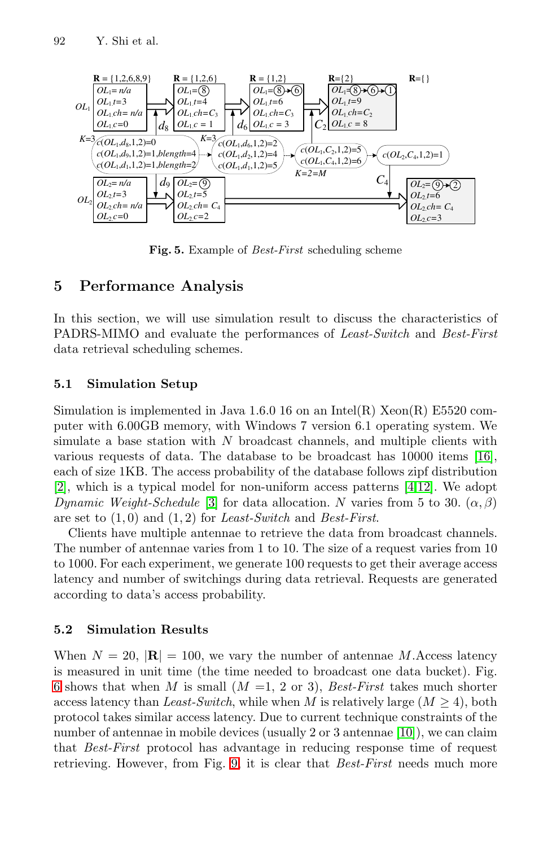<span id="page-12-0"></span>

**Fig. 5.** Example of *Best-First* scheduling scheme

### **5 Performance Analysis**

In this section, we will use simulation result to discuss the characteristics of PADRS-MIMO and evaluate the performances of *Least[-Sw](#page-15-5)itch* and *Best-First* data retrieval scheduling schemes.

### **5.1 Si[m](#page-14-2)ulation Setup**

Simulation is implemented in Java 1.6.0 16 on an Intel(R)  $Xeon(R)$  E5520 computer with 6.00GB memory, with Windows 7 version 6.1 operating system. We simulate a base station with  $N$  broadcast channels, and multiple clients with various requests of data. The database to be broadcast has 10000 items [16], each of size 1KB. The access probability of the database follows zipf distribution [2], which is a typical model for non-uniform access patterns [4,12]. We adopt *Dynamic Weight-Schedule* [3] for data allocation. N varies from 5 to 30.  $(\alpha, \beta)$ are set to (1, 0) and (1, 2) for *Least-Switch* and *Best-First*.

Clients have multiple antennae to retrieve the data from broadcast channels. The number of antennae varies from 1 to 10. The size of a request varies from 10 to 1000. For each experiment, we generate 100 requests to get their average access latency and number of switchings during data retrieval. Requests are generated according to data's access probability.

### **5.2 Simulation Results**

When  $N = 20$  $N = 20$ ,  $|\mathbf{R}| = 100$ , we vary the number of antennae M.Access latency is measured in unit time (the time needed to broadcast one data bucket). Fig. 6 shows that when M is small (M =1, 2 or 3), *Best-First* takes much shorter access latency than *Least-Switch*, while when M is relatively large  $(M \geq 4)$ , both protocol takes similar access latency. Due to current technique constraints of the number of antennae in mobile devices (usually 2 or 3 antennae [10]), we can claim that *Best-First* protocol has advantage in reducing response time of request retrieving. However, from Fig. 9, it is clear that *Best-First* needs much more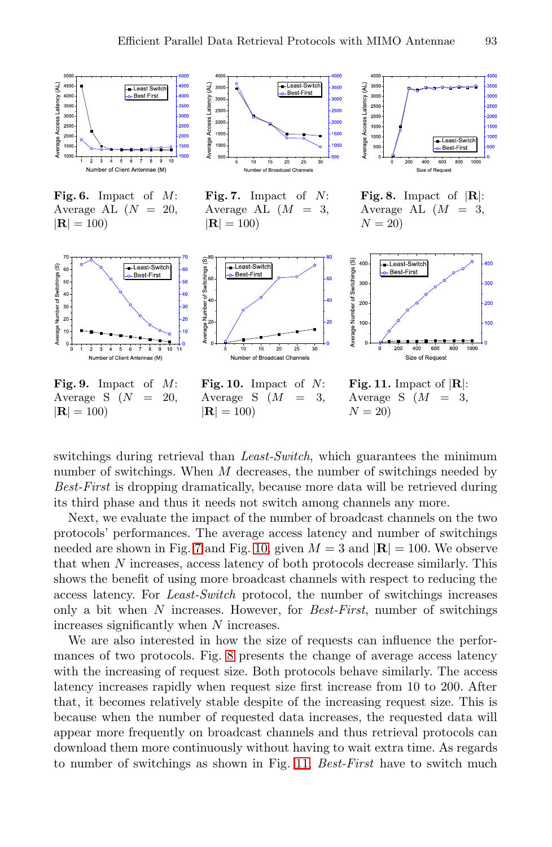<span id="page-13-1"></span><span id="page-13-0"></span>

<span id="page-13-2"></span>switchings during retrieval than *Least-Switch*, which guarantees the minimum number of switchings. When M decreases, the number of switchings needed by *Best-First* is dropping dramatically, because more data will be retrieved during its third phase and thus it needs not switch among channels any more.

Next, we evaluate the impact of the number of broadcast channels on the two protocols' [per](#page-13-1)formances. The average access latency and number of switchings needed are shown in Fig. 7 and Fig. 10, given  $M = 3$  and  $|\mathbf{R}| = 100$ . We observe that when N increases, access latency of both protocols decrease similarly. This shows the benefit of using more broadcast channels with respect to reducing the access latency. For *Least-Switch* protocol, the number of switchings increases only a bit when N increases. However, for *Best-First*, number of switchings increases significantly when N increases.

We are also intereste[d i](#page-13-2)n how the size of requests can influence the performances of two protocols. Fig. 8 presents the change of average access latency with the increasing of request size. Both protocols behave similarly. The access latency increases rapidly when request size first increase from 10 to 200. After that, it becomes relatively stable despite of the increasing request size. This is because when the number of requested data increases, the requested data will appear more frequently on broadcast channels and thus retrieval protocols can download them more continuously without having to wait extra time. As regards to number of switchings as shown in Fig. 11, *Best-First* have to switch much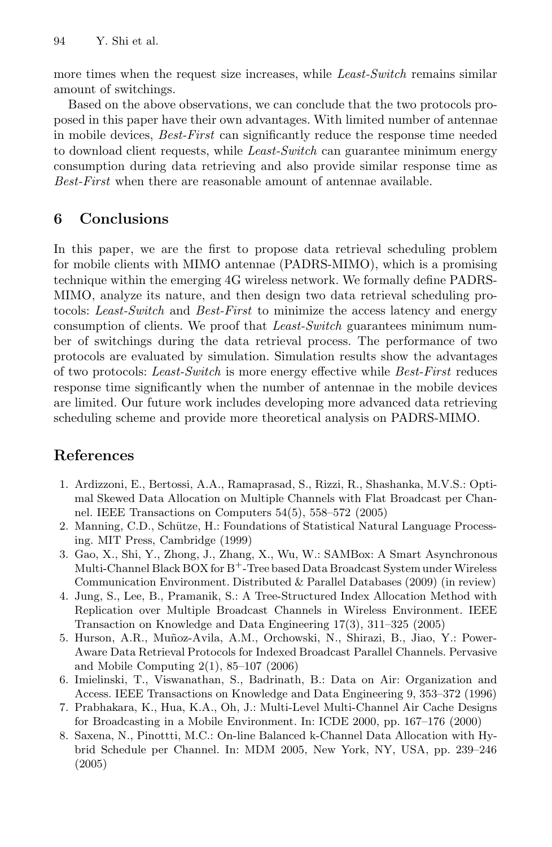more times when the request size increases, while *Least-Switch* remains similar amount of switchings.

Based on the above observations, we can conclude that the two protocols proposed in this paper have their own advantages. With limited number of antennae in mobile devices, *Best-First* can significantly reduce the response time needed to download client requests, while *Least-Switch* can guarantee minimum energy consumption during data retrieving and also provide similar response time as *Best-First* when there are reasonable amount of antennae available.

# <span id="page-14-3"></span>**6 Conclusions**

In this paper, we are the first to propose data retrieval scheduling problem for mobile clients with MIMO antennae (PADRS-MIMO), which is a promising technique within the emerging 4G wireless network. We formally define PADRS-MIMO, analyze its nature, and then design two data retrieval scheduling protocols: *Least-Switch* and *Best-First* to minimize the access latency and energy consumption of clients. We proof that *Least-Switch* guarantees minimum number of switchings during the data retrieval process. The performance of two protocols are evaluated by simulation. Simulation results show the advantages of two protocols: *Least-Switch* is more energy effective while *Best-First* reduces response time significantly when the number of antennae in the mobile devices are limited. Our future work includes developing more advanced data retrieving scheduling scheme and provide more theoretical analysis on PADRS-MIMO.

## **References**

- <span id="page-14-4"></span>1. Ardizzoni, E., Bertossi, A.A., Ramaprasad, S., Rizzi, R., Shashanka, M.V.S.: Optimal Skewed Data Allocation on Multiple Channels with Flat Broadcast per Channel. IEEE Transactions on Computers 54(5), 558–572 (2005)
- 2. Manning, C.D., Schütze, H.: Foundations of Statistical Natural Language Processing. MIT Press, Cambridge (1999)
- <span id="page-14-2"></span>3. Gao, X., Shi, Y., Zhong, J., Zhang, X., Wu, W.: SAMBox: A Smart Asynchronous Multi-Channel Black BOX for  $B^+$ -Tree based Data Broadcast System under Wireless Communication Environment. Distributed & Parallel Databases (2009) (in review)
- <span id="page-14-0"></span>4. Jung, S., Lee, B., Pramanik, S.: A Tree-Structured Index Allocation Method with Replication over Multiple Broadcast Channels in Wireless Environment. IEEE Transaction on Knowledge and Data Engineering 17(3), 311–325 (2005)
- <span id="page-14-1"></span>5. Hurson, A.R., Mu˜noz-Avila, A.M., Orchowski, N., Shirazi, B., Jiao, Y.: Power-Aware Data Retrieval Protocols for Indexed Broadcast Parallel Channels. Pervasive and Mobile Computing 2(1), 85–107 (2006)
- <span id="page-14-5"></span>6. Imielinski, T., Viswanathan, S., Badrinath, B.: Data on Air: Organization and Access. IEEE Transactions on Knowledge and Data Engineering 9, 353–372 (1996)
- 7. Prabhakara, K., Hua, K.A., Oh, J.: Multi-Level Multi-Channel Air Cache Designs for Broadcasting in a Mobile Environment. In: ICDE 2000, pp. 167–176 (2000)
- 8. Saxena, N., Pinottti, M.C.: On-line Balanced k-Channel Data Allocation with Hybrid Schedule per Channel. In: MDM 2005, New York, NY, USA, pp. 239–246 (2005)